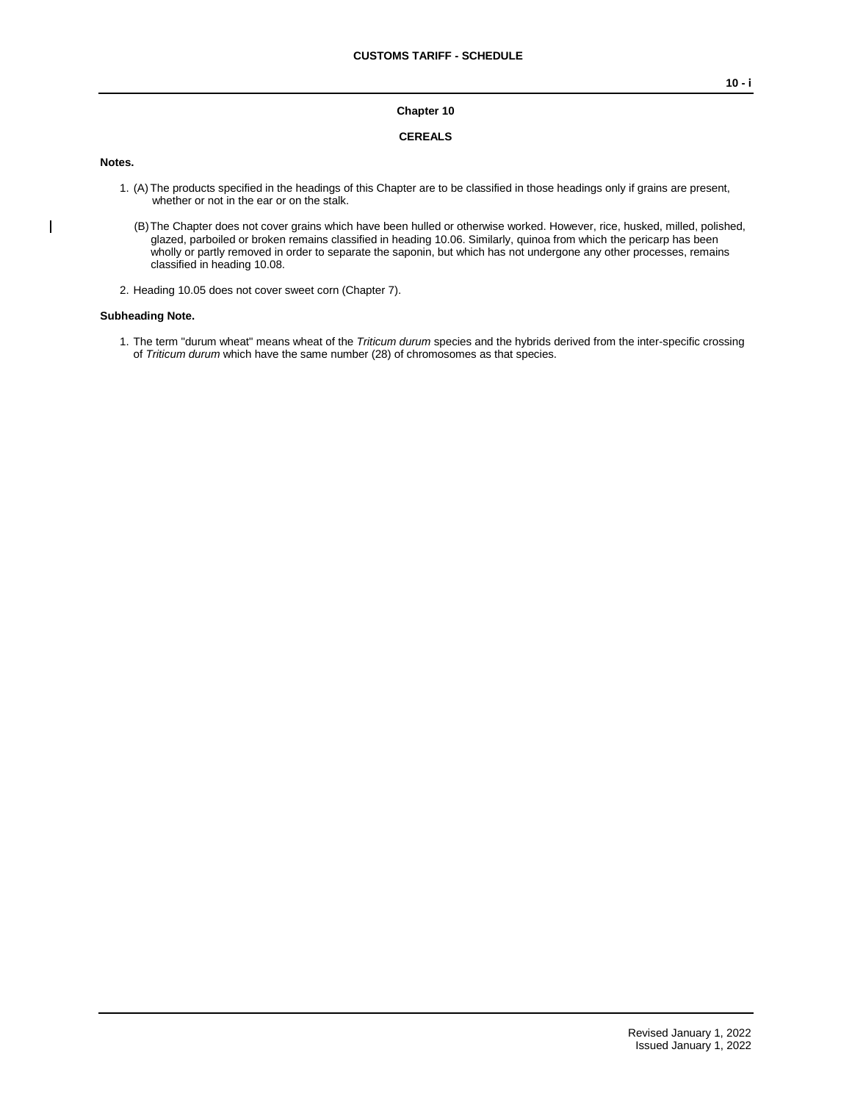## **Chapter 10**

### **CEREALS**

#### **Notes.**

 $\overline{\phantom{a}}$ 

- 1. (A) The products specified in the headings of this Chapter are to be classified in those headings only if grains are present, whether or not in the ear or on the stalk.
	- (B)The Chapter does not cover grains which have been hulled or otherwise worked. However, rice, husked, milled, polished, glazed, parboiled or broken remains classified in heading 10.06. Similarly, quinoa from which the pericarp has been wholly or partly removed in order to separate the saponin, but which has not undergone any other processes, remains classified in heading 10.08.
- 2. Heading 10.05 does not cover sweet corn (Chapter 7).

#### **Subheading Note.**

1. The term "durum wheat" means wheat of the *Triticum durum* species and the hybrids derived from the inter-specific crossing of *Triticum durum* which have the same number (28) of chromosomes as that species.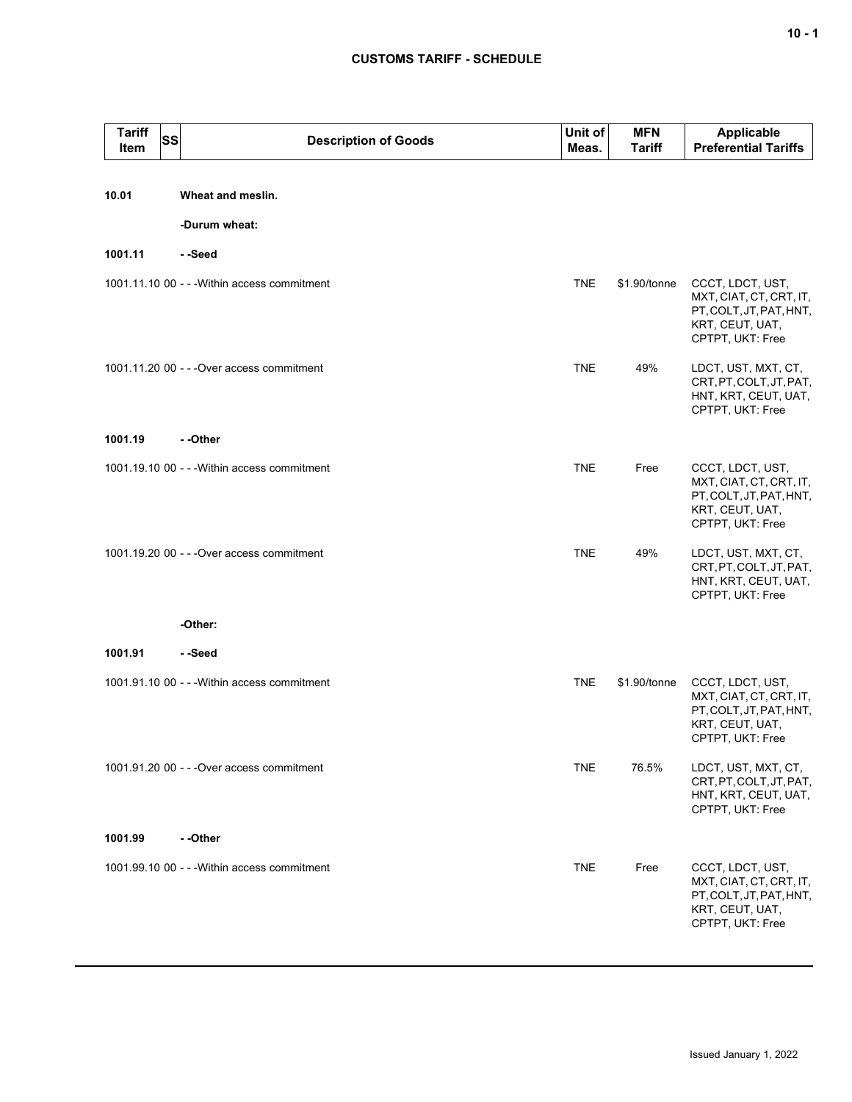# **CUSTOMS TARIFF - SCHEDULE**

| Tariff<br>ltem | <b>SS</b> | <b>Description of Goods</b>                  | Unit of<br>Meas. | <b>MFN</b><br><b>Tariff</b> | Applicable<br><b>Preferential Tariffs</b>                                                                     |
|----------------|-----------|----------------------------------------------|------------------|-----------------------------|---------------------------------------------------------------------------------------------------------------|
|                |           |                                              |                  |                             |                                                                                                               |
| 10.01          |           | Wheat and meslin.                            |                  |                             |                                                                                                               |
| 1001.11        |           | -Durum wheat:<br>- -Seed                     |                  |                             |                                                                                                               |
|                |           | 1001.11.10 00 - - - Within access commitment | <b>TNE</b>       | \$1.90/tonne                |                                                                                                               |
|                |           |                                              |                  |                             | CCCT, LDCT, UST,<br>MXT, CIAT, CT, CRT, IT,<br>PT, COLT, JT, PAT, HNT,<br>KRT, CEUT, UAT,<br>CPTPT, UKT: Free |
|                |           | 1001.11.20 00 - - - Over access commitment   | <b>TNE</b>       | 49%                         | LDCT, UST, MXT, CT,<br>CRT, PT, COLT, JT, PAT,<br>HNT, KRT, CEUT, UAT,<br>CPTPT, UKT: Free                    |
| 1001.19        |           | - -Other                                     |                  |                             |                                                                                                               |
|                |           | 1001.19.10 00 - - - Within access commitment | <b>TNE</b>       | Free                        | CCCT, LDCT, UST,<br>MXT, CIAT, CT, CRT, IT,<br>PT, COLT, JT, PAT, HNT,<br>KRT, CEUT, UAT,<br>CPTPT, UKT: Free |
|                |           | 1001.19.20 00 - - - Over access commitment   | <b>TNE</b>       | 49%                         | LDCT, UST, MXT, CT,<br>CRT, PT, COLT, JT, PAT,<br>HNT, KRT, CEUT, UAT,<br>CPTPT, UKT: Free                    |
|                |           | -Other:                                      |                  |                             |                                                                                                               |
| 1001.91        |           | - -Seed                                      |                  |                             |                                                                                                               |
|                |           | 1001.91.10 00 - - - Within access commitment | TNE              | \$1.90/tonne                | CCCT, LDCT, UST,<br>MXT, CIAT, CT, CRT, IT,<br>PT, COLT, JT, PAT, HNT,<br>KRT, CEUT, UAT,<br>CPTPT, UKT: Free |
|                |           | 1001.91.20 00 - - - Over access commitment   | <b>TNE</b>       | 76.5%                       | LDCT, UST, MXT, CT,<br>CRT, PT, COLT, JT, PAT,<br>HNT, KRT, CEUT, UAT,<br>CPTPT, UKT: Free                    |
| 1001.99        |           | - -Other                                     |                  |                             |                                                                                                               |
|                |           | 1001.99.10 00 - - - Within access commitment | <b>TNE</b>       | Free                        | CCCT, LDCT, UST,<br>MXT, CIAT, CT, CRT, IT,<br>PT, COLT, JT, PAT, HNT,<br>KRT, CEUT, UAT,<br>CPTPT, UKT: Free |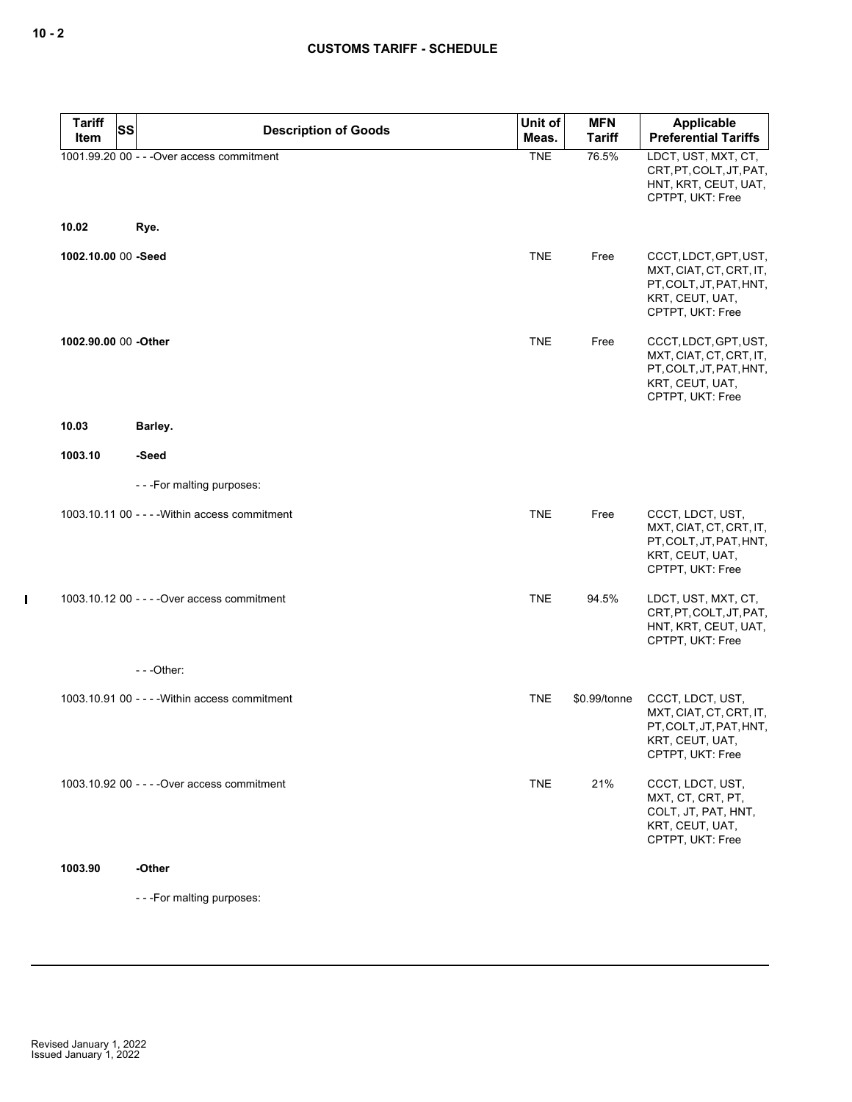$\mathbf I$ 

| <b>Tariff</b><br><b>SS</b> | <b>Description of Goods</b>                    | Unit of    | <b>MFN</b>    | Applicable                                                                                                         |
|----------------------------|------------------------------------------------|------------|---------------|--------------------------------------------------------------------------------------------------------------------|
| Item                       |                                                | Meas.      | <b>Tariff</b> | <b>Preferential Tariffs</b>                                                                                        |
|                            | 1001.99.20 00 - - - Over access commitment     | <b>TNE</b> | 76.5%         | LDCT, UST, MXT, CT,<br>CRT, PT, COLT, JT, PAT,<br>HNT, KRT, CEUT, UAT,<br>CPTPT, UKT: Free                         |
| 10.02                      | Rye.                                           |            |               |                                                                                                                    |
| 1002.10.00 00 -Seed        |                                                | <b>TNE</b> | Free          | CCCT, LDCT, GPT, UST,<br>MXT, CIAT, CT, CRT, IT,<br>PT, COLT, JT, PAT, HNT,<br>KRT, CEUT, UAT,<br>CPTPT, UKT: Free |
| 1002.90.00 00 -Other       |                                                | <b>TNE</b> | Free          | CCCT, LDCT, GPT, UST,<br>MXT, CIAT, CT, CRT, IT,<br>PT, COLT, JT, PAT, HNT,<br>KRT, CEUT, UAT,<br>CPTPT, UKT: Free |
| 10.03                      | Barley.                                        |            |               |                                                                                                                    |
| 1003.10                    | -Seed                                          |            |               |                                                                                                                    |
|                            | - - - For malting purposes:                    |            |               |                                                                                                                    |
|                            | 1003.10.11 00 - - - - Within access commitment | <b>TNE</b> | Free          | CCCT, LDCT, UST,<br>MXT, CIAT, CT, CRT, IT,<br>PT, COLT, JT, PAT, HNT,<br>KRT, CEUT, UAT,<br>CPTPT, UKT: Free      |
|                            | 1003.10.12 00 - - - - Over access commitment   | <b>TNE</b> | 94.5%         | LDCT, UST, MXT, CT,<br>CRT, PT, COLT, JT, PAT,<br>HNT, KRT, CEUT, UAT,<br>CPTPT, UKT: Free                         |
|                            | $- -$ Other:                                   |            |               |                                                                                                                    |
|                            | 1003.10.91 00 - - - - Within access commitment | <b>TNE</b> | \$0.99/tonne  | CCCT, LDCT, UST,<br>MXT, CIAT, CT, CRT, IT,<br>PT, COLT, JT, PAT, HNT,<br>KRT, CEUT, UAT,<br>CPTPT, UKT: Free      |
|                            | 1003.10.92 00 - - - - Over access commitment   | <b>TNE</b> | 21%           | CCCT, LDCT, UST,<br>MXT, CT, CRT, PT,<br>COLT, JT, PAT, HNT,<br>KRT, CEUT, UAT,<br>CPTPT, UKT: Free                |
| 1003.90                    | -Other                                         |            |               |                                                                                                                    |

- - -For malting purposes: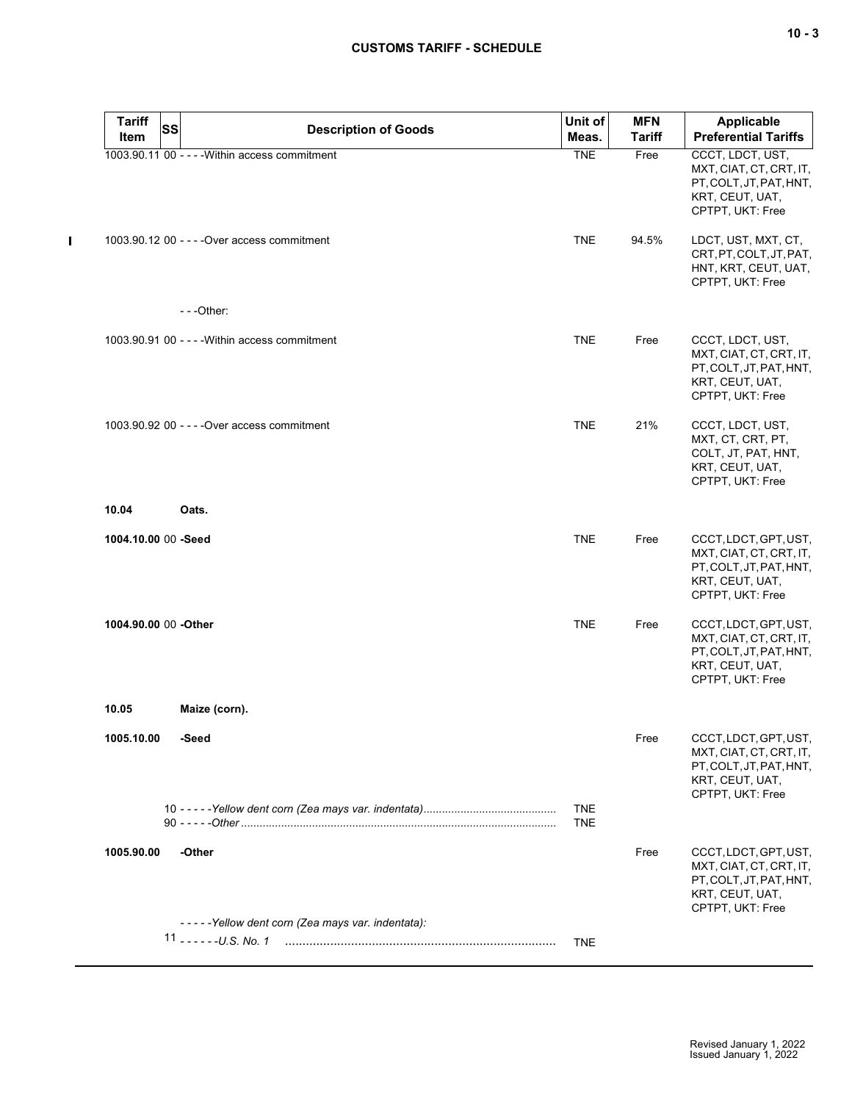$\mathbf{I}$ 

| <b>Tariff</b><br><b>Item</b> | <b>SS</b> | <b>Description of Goods</b>                      | Unit of<br>Meas.         | <b>MFN</b><br>Tariff | <b>Applicable</b><br><b>Preferential Tariffs</b>                                                                   |
|------------------------------|-----------|--------------------------------------------------|--------------------------|----------------------|--------------------------------------------------------------------------------------------------------------------|
|                              |           | 1003.90.11 00 - - - - Within access commitment   | <b>TNE</b>               | Free                 | CCCT, LDCT, UST,<br>MXT, CIAT, CT, CRT, IT,<br>PT, COLT, JT, PAT, HNT,<br>KRT, CEUT, UAT,<br>CPTPT, UKT: Free      |
|                              |           | 1003.90.12 00 - - - - Over access commitment     | <b>TNE</b>               | 94.5%                | LDCT, UST, MXT, CT,<br>CRT, PT, COLT, JT, PAT,<br>HNT, KRT, CEUT, UAT,<br>CPTPT, UKT: Free                         |
|                              |           | ---Other:                                        |                          |                      |                                                                                                                    |
|                              |           | $1003.90.91$ 00 - - - - Within access commitment | <b>TNE</b>               | Free                 | CCCT, LDCT, UST,<br>MXT, CIAT, CT, CRT, IT,<br>PT, COLT, JT, PAT, HNT,<br>KRT, CEUT, UAT,<br>CPTPT, UKT: Free      |
|                              |           | 1003.90.92 00 - - - - Over access commitment     | <b>TNE</b>               | 21%                  | CCCT, LDCT, UST,<br>MXT, CT, CRT, PT,<br>COLT, JT, PAT, HNT,<br>KRT, CEUT, UAT,<br>CPTPT, UKT: Free                |
| 10.04                        |           | Oats.                                            |                          |                      |                                                                                                                    |
| 1004.10.00 00 -Seed          |           |                                                  | <b>TNE</b>               | Free                 | CCCT, LDCT, GPT, UST,<br>MXT, CIAT, CT, CRT, IT,<br>PT, COLT, JT, PAT, HNT,<br>KRT, CEUT, UAT,<br>CPTPT, UKT: Free |
| 1004.90.00 00 -Other         |           |                                                  | <b>TNE</b>               | Free                 | CCCT, LDCT, GPT, UST,<br>MXT, CIAT, CT, CRT, IT,<br>PT, COLT, JT, PAT, HNT,<br>KRT, CEUT, UAT,<br>CPTPT, UKT: Free |
| 10.05                        |           | Maize (corn).                                    |                          |                      |                                                                                                                    |
| 1005.10.00                   |           | -Seed                                            |                          | Free                 | CCCT, LDCT, GPT, UST,<br>MXT, CIAT, CT, CRT, IT,<br>PT, COLT, JT, PAT, HNT,<br>KRT, CEUT, UAT,<br>CPTPT, UKT: Free |
|                              |           |                                                  | <b>TNE</b><br><b>TNE</b> |                      |                                                                                                                    |
| 1005.90.00                   |           | -Other                                           |                          | Free                 | CCCT, LDCT, GPT, UST,<br>MXT, CIAT, CT, CRT, IT,<br>PT, COLT, JT, PAT, HNT,<br>KRT, CEUT, UAT,<br>CPTPT, UKT: Free |
|                              |           | -----Yellow dent corn (Zea mays var. indentata): |                          |                      |                                                                                                                    |
|                              |           |                                                  | <b>TNE</b>               |                      |                                                                                                                    |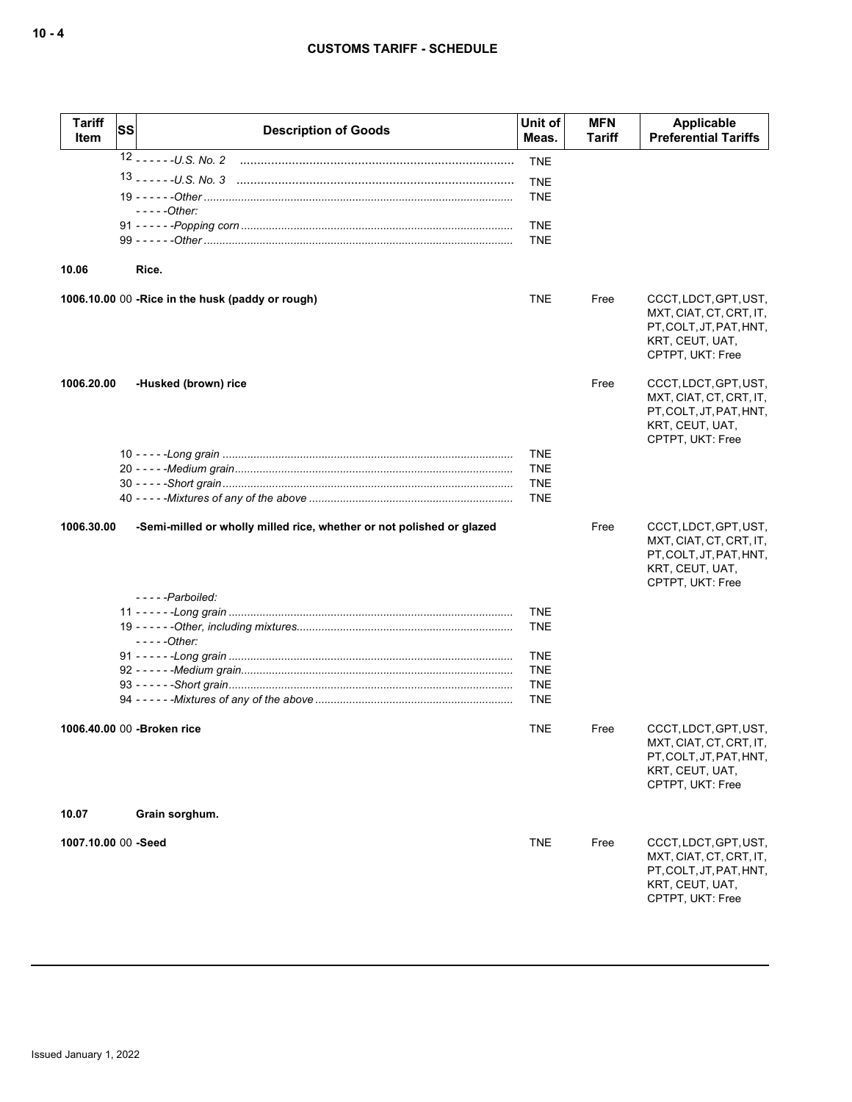| <b>Tariff</b><br>Item | SS | <b>Description of Goods</b>                                           | Unit of<br>Meas.         | <b>MFN</b><br>Tariff | Applicable<br><b>Preferential Tariffs</b>                                                                          |
|-----------------------|----|-----------------------------------------------------------------------|--------------------------|----------------------|--------------------------------------------------------------------------------------------------------------------|
|                       |    |                                                                       | <b>TNE</b>               |                      |                                                                                                                    |
|                       |    |                                                                       | <b>TNE</b>               |                      |                                                                                                                    |
|                       |    |                                                                       | <b>TNE</b>               |                      |                                                                                                                    |
|                       |    | $---Other:$                                                           |                          |                      |                                                                                                                    |
|                       |    |                                                                       | <b>TNE</b><br><b>TNE</b> |                      |                                                                                                                    |
|                       |    |                                                                       |                          |                      |                                                                                                                    |
| 10.06                 |    | Rice.                                                                 |                          |                      |                                                                                                                    |
|                       |    | 1006.10.00 00 - Rice in the husk (paddy or rough)                     | <b>TNE</b>               | Free                 | CCCT, LDCT, GPT, UST,<br>MXT, CIAT, CT, CRT, IT,<br>PT, COLT, JT, PAT, HNT,<br>KRT, CEUT, UAT,<br>CPTPT, UKT: Free |
| 1006.20.00            |    | -Husked (brown) rice                                                  |                          | Free                 | CCCT, LDCT, GPT, UST,<br>MXT, CIAT, CT, CRT, IT,<br>PT, COLT, JT, PAT, HNT,<br>KRT, CEUT, UAT,<br>CPTPT, UKT: Free |
|                       |    |                                                                       | <b>TNE</b>               |                      |                                                                                                                    |
|                       |    |                                                                       | <b>TNE</b><br><b>TNE</b> |                      |                                                                                                                    |
|                       |    |                                                                       | <b>TNE</b>               |                      |                                                                                                                    |
|                       |    |                                                                       |                          |                      |                                                                                                                    |
| 1006.30.00            |    | -Semi-milled or wholly milled rice, whether or not polished or glazed |                          | Free                 | CCCT, LDCT, GPT, UST,<br>MXT, CIAT, CT, CRT, IT,<br>PT, COLT, JT, PAT, HNT,<br>KRT, CEUT, UAT,<br>CPTPT, UKT: Free |
|                       |    | -----Parboiled:                                                       |                          |                      |                                                                                                                    |
|                       |    |                                                                       | <b>TNE</b><br><b>TNE</b> |                      |                                                                                                                    |
|                       |    | $---Other:$                                                           |                          |                      |                                                                                                                    |
|                       |    |                                                                       | <b>TNE</b>               |                      |                                                                                                                    |
|                       |    |                                                                       | <b>TNE</b><br><b>TNE</b> |                      |                                                                                                                    |
|                       |    |                                                                       | <b>TNE</b>               |                      |                                                                                                                    |
|                       |    | 1006.40.00 00 - Broken rice                                           | TNE                      | Free                 | CCCT, LDCT, GPT, UST,<br>MXT, CIAT, CT, CRT, IT,<br>PT, COLT, JT, PAT, HNT,<br>KRT, CEUT, UAT,<br>CPTPT, UKT: Free |
| 10.07                 |    | Grain sorghum.                                                        |                          |                      |                                                                                                                    |
| 1007.10.00 00 -Seed   |    |                                                                       | <b>TNE</b>               | Free                 | CCCT, LDCT, GPT, UST,<br>MXT, CIAT, CT, CRT, IT,<br>PT, COLT, JT, PAT, HNT,<br>KRT, CEUT, UAT,<br>CPTPT, UKT: Free |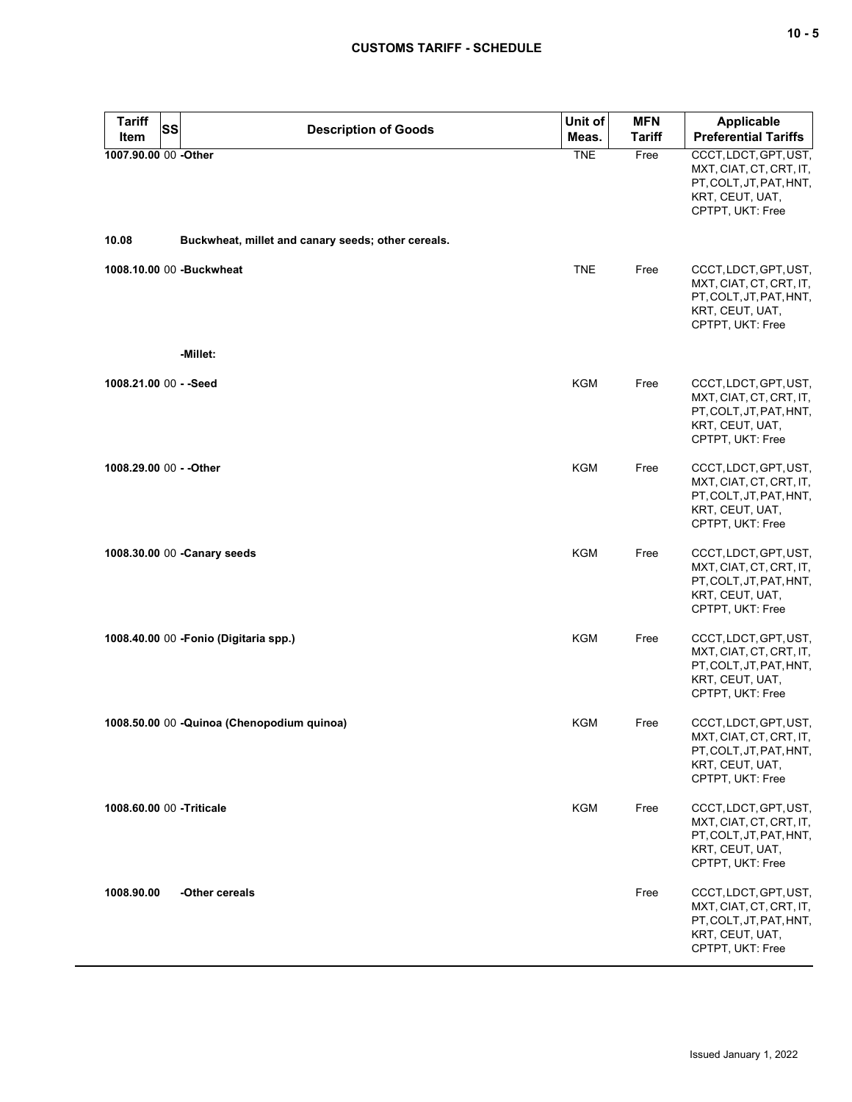| <b>Tariff</b><br><b>SS</b>   | <b>Description of Goods</b>                        | Unit of    | <b>MFN</b>    | <b>Applicable</b>                                                                                                  |
|------------------------------|----------------------------------------------------|------------|---------------|--------------------------------------------------------------------------------------------------------------------|
| Item                         |                                                    | Meas.      | <b>Tariff</b> | <b>Preferential Tariffs</b>                                                                                        |
| 1007.90.00 00 -Other         |                                                    | <b>TNE</b> | Free          | CCCT, LDCT, GPT, UST,<br>MXT, CIAT, CT, CRT, IT,<br>PT, COLT, JT, PAT, HNT,<br>KRT, CEUT, UAT,<br>CPTPT, UKT: Free |
| 10.08                        | Buckwheat, millet and canary seeds; other cereals. |            |               |                                                                                                                    |
| 1008.10.00 00 -Buckwheat     |                                                    | <b>TNE</b> | Free          | CCCT, LDCT, GPT, UST,<br>MXT, CIAT, CT, CRT, IT,<br>PT, COLT, JT, PAT, HNT,<br>KRT, CEUT, UAT,<br>CPTPT, UKT: Free |
|                              | -Millet:                                           |            |               |                                                                                                                    |
| 1008.21.00 00 - - Seed       |                                                    | <b>KGM</b> | Free          | CCCT, LDCT, GPT, UST,<br>MXT, CIAT, CT, CRT, IT,<br>PT, COLT, JT, PAT, HNT,<br>KRT, CEUT, UAT,<br>CPTPT, UKT: Free |
| 1008.29.00 00 - - Other      |                                                    | <b>KGM</b> | Free          | CCCT, LDCT, GPT, UST,<br>MXT, CIAT, CT, CRT, IT,<br>PT, COLT, JT, PAT, HNT,<br>KRT, CEUT, UAT,<br>CPTPT, UKT: Free |
| 1008.30.00 00 - Canary seeds |                                                    | <b>KGM</b> | Free          | CCCT, LDCT, GPT, UST,<br>MXT, CIAT, CT, CRT, IT,<br>PT, COLT, JT, PAT, HNT,<br>KRT, CEUT, UAT,<br>CPTPT, UKT: Free |
|                              | 1008.40.00 00 - Fonio (Digitaria spp.)             | KGM        | Free          | CCCT, LDCT, GPT, UST,<br>MXT, CIAT, CT, CRT, IT,<br>PT, COLT, JT, PAT, HNT,<br>KRT, CEUT, UAT,<br>CPTPT, UKT: Free |
|                              | 1008.50.00 00 - Quinoa (Chenopodium quinoa)        | KGM        | Free          | CCCT, LDCT, GPT, UST,<br>MXT, CIAT, CT, CRT, IT,<br>PT, COLT, JT, PAT, HNT,<br>KRT, CEUT, UAT,<br>CPTPT, UKT: Free |
| 1008.60.00 00 -Triticale     |                                                    | <b>KGM</b> | Free          | CCCT, LDCT, GPT, UST,<br>MXT, CIAT, CT, CRT, IT,<br>PT, COLT, JT, PAT, HNT,<br>KRT, CEUT, UAT,<br>CPTPT, UKT: Free |
| 1008.90.00                   | -Other cereals                                     |            | Free          | CCCT, LDCT, GPT, UST,<br>MXT, CIAT, CT, CRT, IT,<br>PT, COLT, JT, PAT, HNT,<br>KRT, CEUT, UAT,<br>CPTPT, UKT: Free |